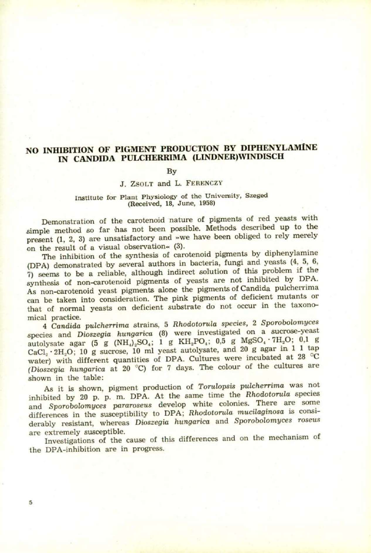# **NO INHIBITION OF PIGMENT PRODUCTION BY DIPHENYLAMINE IN CANDIDA PULCHERRIMA (LINDNER)WINDISCH**

#### By

## J. ZSOLT and L. FERENCZY

### Institute for Plant Physiology of the University, Szeged (Received, 18, June, 1958)

Demonstration of the carotenoid nature of pigments of red yeasts with simple method so far has not been possible. Methods described up to the present (1, 2, 3) are unsatisfactory and »we have been obliged to rely merely on the result of a visual observation« (3).

The inhibition of the synthesis of carotenoid pigments by diphenylamine (DPA) demonstrated by several authors in bacteria, fungi and yeasts (4, 5. 6, 7) seems to be a reliable, although indirect solution of this problem if the synthesis of non-carotenoid pigments of yeasts are not inhibited by DPA. As non-carotenoid yeast pigments alone the pigments of Candida pulcherrima can be taken into consideration. The pink pigments of deficient mutants or that of normal yeasts on deficient substrate do not occur in the taxonomical practice.

4 *Candida pulcherrima* strains, 5 *Rhodotorula species,* 2 *Sporobolomyces*  species and *Dioszegia hungarica* (8) were investigated on a sucrose-yeast autolysate agar (5 g (NH<sub>4</sub>)<sub>2</sub>SO<sub>4</sub>; 1 g KH<sub>2</sub>PO<sub>4</sub>; 0,5 g MgSO<sub>4</sub> · 7H<sub>2</sub>O; 0,1 g  $CaCl<sub>2</sub> \cdot 2H<sub>2</sub>O$ ; 10 g sucrose, 10 ml yeast autolysate, and 20 g agar in 1 1 tap water) with different quantities of DPA. Cultures were incubated at 28 °C *(Dioszegia hungarica* at 20 °C) for 7 days. The colour of the cultures are shown in the table:

As it is shown, pigment production of *Torulopsis pulcherrima* was not inhibited by 20 p. p. m. DPA. At the same time the *Rhodotorula* species and *Sporobolomyces pararoseus* develop white colonies. There are some differences in the susceptibility to DPA; *Rhodotorula mucilaginosa* is considerably resistant, whereas *Dioszegia hungarica* and Sporobolomyces roseus are extremely susceptible.

Investigations of the cause of this differences and on the mechanism of the DPA-inhibition are in progress.

5